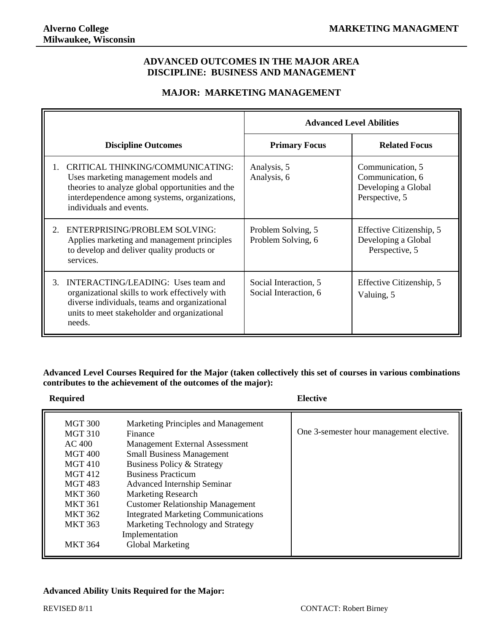### **ADVANCED OUTCOMES IN THE MAJOR AREA DISCIPLINE: BUSINESS AND MANAGEMENT**

## **MAJOR: MARKETING MANAGEMENT**

|    |                                                                                                                                                                                                          | <b>Advanced Level Abilities</b>                |                                                                               |
|----|----------------------------------------------------------------------------------------------------------------------------------------------------------------------------------------------------------|------------------------------------------------|-------------------------------------------------------------------------------|
|    | <b>Discipline Outcomes</b>                                                                                                                                                                               | <b>Primary Focus</b>                           | <b>Related Focus</b>                                                          |
|    | CRITICAL THINKING/COMMUNICATING:<br>Uses marketing management models and<br>theories to analyze global opportunities and the<br>interdependence among systems, organizations,<br>individuals and events. | Analysis, 5<br>Analysis, 6                     | Communication, 5<br>Communication, 6<br>Developing a Global<br>Perspective, 5 |
| 2. | ENTERPRISING/PROBLEM SOLVING:<br>Applies marketing and management principles<br>to develop and deliver quality products or<br>services.                                                                  | Problem Solving, 5<br>Problem Solving, 6       | Effective Citizenship, 5<br>Developing a Global<br>Perspective, 5             |
| 3. | INTERACTING/LEADING: Uses team and<br>organizational skills to work effectively with<br>diverse individuals, teams and organizational<br>units to meet stakeholder and organizational<br>needs.          | Social Interaction, 5<br>Social Interaction, 6 | Effective Citizenship, 5<br>Valuing, 5                                        |

#### **Advanced Level Courses Required for the Major (taken collectively this set of courses in various combinations contributes to the achievement of the outcomes of the major):**

| <b>Required</b>                                                                                                                                                                                       |                                                                                                                                                                                                                                                                                                                                                                                                                        | <b>Elective</b>                          |  |
|-------------------------------------------------------------------------------------------------------------------------------------------------------------------------------------------------------|------------------------------------------------------------------------------------------------------------------------------------------------------------------------------------------------------------------------------------------------------------------------------------------------------------------------------------------------------------------------------------------------------------------------|------------------------------------------|--|
| <b>MGT 300</b><br><b>MGT 310</b><br>AC 400<br><b>MGT 400</b><br><b>MGT 410</b><br><b>MGT 412</b><br>MGT 483<br><b>MKT 360</b><br><b>MKT 361</b><br><b>MKT 362</b><br><b>MKT 363</b><br><b>MKT 364</b> | Marketing Principles and Management<br>Finance<br><b>Management External Assessment</b><br><b>Small Business Management</b><br>Business Policy & Strategy<br><b>Business Practicum</b><br>Advanced Internship Seminar<br><b>Marketing Research</b><br><b>Customer Relationship Management</b><br><b>Integrated Marketing Communications</b><br>Marketing Technology and Strategy<br>Implementation<br>Global Marketing | One 3-semester hour management elective. |  |

#### **Advanced Ability Units Required for the Major:**